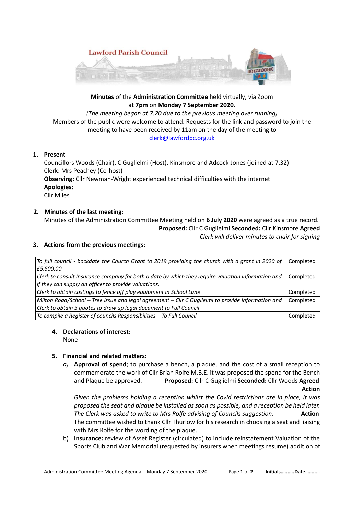

## **Minutes** of the **Administration Committee** held virtually, via Zoom at **7pm** on **Monday 7 September 2020.**

*(The meeting began at 7.20 due to the previous meeting over running)* Members of the public were welcome to attend. Requests for the link and password to join the meeting to have been received by 11am on the day of the meeting to [clerk@lawfordpc.org.uk](mailto:clerk@lawfordpc.org.uk)

### **1. Present**

Councillors Woods (Chair), C Guglielmi (Host), Kinsmore and Adcock-Jones (joined at 7.32) Clerk: Mrs Peachey (Co-host) **Observing:** Cllr Newman-Wright experienced technical difficulties with the internet **Apologies:** Cllr Miles

# **2. Minutes of the last meeting:**

Minutes of the Administration Committee Meeting held on **6 July 2020** were agreed as a true record. **Proposed:** Cllr C Guglielmi **Seconded:** Cllr Kinsmore **Agreed** *Clerk will deliver minutes to chair for signing*

### **3. Actions from the previous meetings:**

| To full council - backdate the Church Grant to 2019 providing the church with a grant in 2020 of   | Completed |
|----------------------------------------------------------------------------------------------------|-----------|
| £5,500.00                                                                                          |           |
| Clerk to consult Insurance company for both a date by which they require valuation information and | Completed |
| if they can supply an officer to provide valuations.                                               |           |
| Clerk to obtain costings to fence off play equipment in School Lane                                | Completed |
| Milton Road/School – Tree issue and legal agreement – Cllr C Guglielmi to provide information and  | Completed |
| Clerk to obtain 3 quotes to draw up legal document to Full Council                                 |           |
| To compile a Register of councils Responsibilities - To Full Council                               | Completed |

### **4. Declarations of interest:**

None

### **5. Financial and related matters:**

*a)* **Approval of spend**; to purchase a bench, a plaque, and the cost of a small reception to commemorate the work of Cllr Brian Rolfe M.B.E. it was proposed the spend for the Bench and Plaque be approved. **Proposed:** Cllr C Guglielmi **Seconded:** Cllr Woods **Agreed Action** 

*Given the problems holding a reception whilst the Covid restrictions are in place, it was proposed the seat and plaque be installed as soon as possible, and a reception be held later. The Clerk was asked to write to Mrs Rolfe advising of Councils suggestion.* **Action** The committee wished to thank Cllr Thurlow for his research in choosing a seat and liaising with Mrs Rolfe for the wording of the plaque.

b) **Insurance:** review of Asset Register (circulated) to include reinstatement Valuation of the Sports Club and War Memorial (requested by insurers when meetings resume) addition of